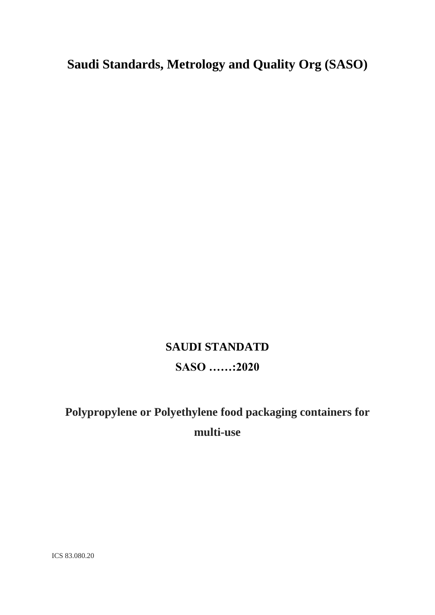## **Saudi Standards, Metrology and Quality Org (SASO)**

# **SAUDI STANDATD SASO ……:2020**

# **Polypropylene or Polyethylene food packaging containers for multi-use**

ICS 83.080.20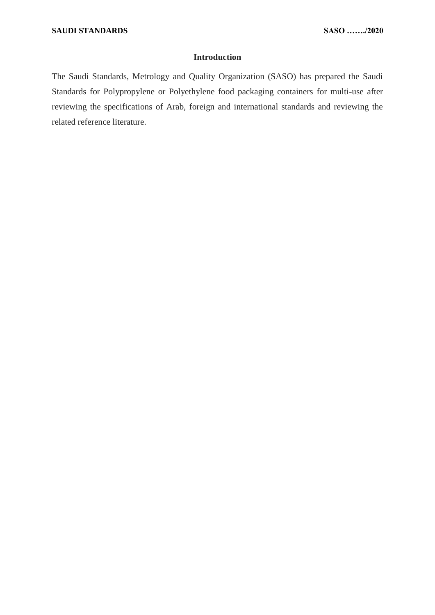#### **Introduction**

The Saudi Standards, Metrology and Quality Organization (SASO) has prepared the Saudi Standards for Polypropylene or Polyethylene food packaging containers for multi-use after reviewing the specifications of Arab, foreign and international standards and reviewing the related reference literature.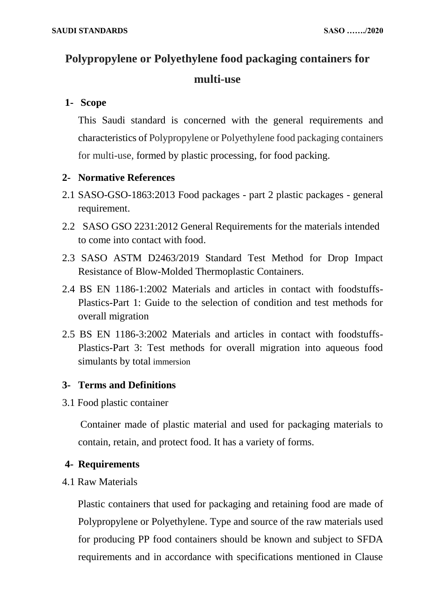## **Polypropylene or Polyethylene food packaging containers for multi-use**

### **1- Scope**

This Saudi standard is concerned with the general requirements and characteristics of Polypropylene or Polyethylene food packaging containers for multi-use, formed by plastic processing, for food packing.

### **2- Normative References**

- 2.1 SASO-GSO-1863:2013 Food packages part 2 plastic packages general requirement.
- 2.2 SASO GSO 2231:2012 General Requirements for the materials intended to come into contact with food.
- 2.3 SASO ASTM D2463/2019 Standard Test Method for Drop Impact Resistance of Blow-Molded Thermoplastic Containers.
- 2.4 BS EN 1186-1:2002 Materials and articles in contact with foodstuffs-Plastics-Part 1: Guide to the selection of condition and test methods for overall migration
- 2.5 BS EN 1186-3:2002 Materials and articles in contact with foodstuffs-Plastics-Part 3: Test methods for overall migration into aqueous food simulants by total immersion

#### **3- Terms and Definitions**

3.1 Food plastic container

 Container made of plastic material and used for packaging materials to contain, retain, and protect food. It has a variety of forms.

#### **4- Requirements**

4.1 Raw Materials

Plastic containers that used for packaging and retaining food are made of Polypropylene or Polyethylene. Type and source of the raw materials used for producing PP food containers should be known and subject to SFDA requirements and in accordance with specifications mentioned in Clause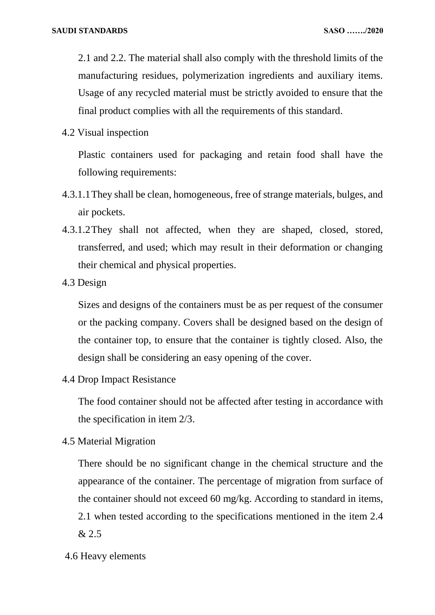2.1 and 2.2. The material shall also comply with the threshold limits of the manufacturing residues, polymerization ingredients and auxiliary items. Usage of any recycled material must be strictly avoided to ensure that the final product complies with all the requirements of this standard.

4.2 Visual inspection

Plastic containers used for packaging and retain food shall have the following requirements:

- 4.3.1.1They shall be clean, homogeneous, free of strange materials, bulges, and air pockets.
- 4.3.1.2They shall not affected, when they are shaped, closed, stored, transferred, and used; which may result in their deformation or changing their chemical and physical properties.
- 4.3 Design

Sizes and designs of the containers must be as per request of the consumer or the packing company. Covers shall be designed based on the design of the container top, to ensure that the container is tightly closed. Also, the design shall be considering an easy opening of the cover.

4.4 Drop Impact Resistance

The food container should not be affected after testing in accordance with the specification in item 2/3.

4.5 Material Migration

There should be no significant change in the chemical structure and the appearance of the container. The percentage of migration from surface of the container should not exceed 60 mg/kg. According to standard in items, 2.1 when tested according to the specifications mentioned in the item 2.4 & 2.5

4.6 Heavy elements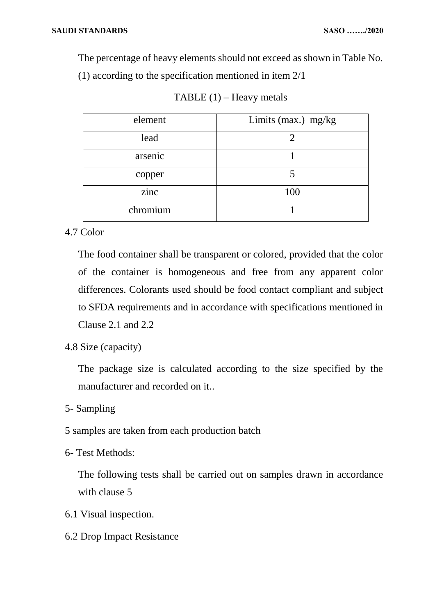The percentage of heavy elements should not exceed as shown in Table No. (1) according to the specification mentioned in item 2/1

| element  | Limits (max.) mg/kg |
|----------|---------------------|
| lead     |                     |
| arsenic  |                     |
| copper   |                     |
| zinc     | 100                 |
| chromium |                     |

|  | TABLE $(1)$ – Heavy metals |
|--|----------------------------|
|--|----------------------------|

#### 4.7 Color

The food container shall be transparent or colored, provided that the color of the container is homogeneous and free from any apparent color differences. Colorants used should be food contact compliant and subject to SFDA requirements and in accordance with specifications mentioned in Clause 2.1 and 2.2

4.8 Size (capacity)

The package size is calculated according to the size specified by the manufacturer and recorded on it..

- 5- Sampling
- 5 samples are taken from each production batch
- 6- Test Methods:

The following tests shall be carried out on samples drawn in accordance with clause 5

- 6.1 Visual inspection.
- 6.2 Drop Impact Resistance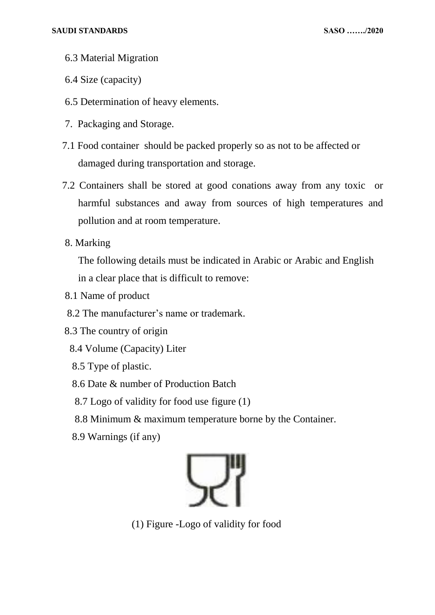- 6.3 Material Migration
- 6.4 Size (capacity)
- 6.5 Determination of heavy elements.
- 7. Packaging and Storage.
- 7.1 Food container should be packed properly so as not to be affected or damaged during transportation and storage.
- 7.2 Containers shall be stored at good conations away from any toxic or harmful substances and away from sources of high temperatures and pollution and at room temperature.
- 8. Marking

The following details must be indicated in Arabic or Arabic and English in a clear place that is difficult to remove:

- 8.1 Name of product
- 8.2 The manufacturer's name or trademark.
- 8.3 The country of origin
	- 8.4 Volume (Capacity) Liter
	- 8.5 Type of plastic.
	- 8.6 Date & number of Production Batch
	- 8.7 Logo of validity for food use figure (1)
	- 8.8 Minimum & maximum temperature borne by the Container.
	- 8.9 Warnings (if any)



(1) Figure -Logo of validity for food